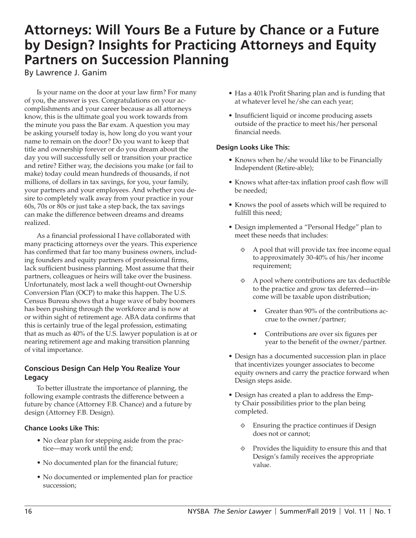# **Attorneys: Will Yours Be a Future by Chance or a Future by Design? Insights for Practicing Attorneys and Equity Partners on Succession Planning**

By Lawrence J. Ganim

Is your name on the door at your law firm? For many of you, the answer is yes. Congratulations on your accomplishments and your career because as all attorneys know, this is the ultimate goal you work towards from the minute you pass the Bar exam. A question you may be asking yourself today is, how long do you want your name to remain on the door? Do you want to keep that title and ownership forever or do you dream about the day you will successfully sell or transition your practice and retire? Either way, the decisions you make (or fail to make) today could mean hundreds of thousands, if not millions, of dollars in tax savings, for you, your family, your partners and your employees. And whether you desire to completely walk away from your practice in your 60s, 70s or 80s or just take a step back, the tax savings can make the difference between dreams and dreams realized.

As a financial professional I have collaborated with many practicing attorneys over the years. This experience has confirmed that far too many business owners, including founders and equity partners of professional firms, lack sufficient business planning. Most assume that their partners, colleagues or heirs will take over the business. Unfortunately, most lack a well thought-out Ownership Conversion Plan (OCP) to make this happen. The U.S. Census Bureau shows that a huge wave of baby boomers has been pushing through the workforce and is now at or within sight of retirement age. ABA data confirms that this is certainly true of the legal profession, estimating that as much as 40% of the U.S. lawyer population is at or nearing retirement age and making transition planning of vital importance.

## **Conscious Design Can Help You Realize Your Legacy**

To better illustrate the importance of planning, the following example contrasts the difference between a future by chance (Attorney F.B. Chance) and a future by design (Attorney F.B. Design).

#### **Chance Looks Like This:**

- No clear plan for stepping aside from the practice—may work until the end;
- No documented plan for the financial future;
- No documented or implemented plan for practice succession;
- Has a 401k Profit Sharing plan and is funding that at whatever level he/she can each year;
- Insufficient liquid or income producing assets outside of the practice to meet his/her personal financial needs.

#### **Design Looks Like This:**

- Knows when he/she would like to be Financially Independent (Retire-able);
- Knows what after-tax inflation proof cash flow will be needed;
- Knows the pool of assets which will be required to fulfill this need;
- Design implemented a "Personal Hedge" plan to meet these needs that includes:
	- $\Diamond$  A pool that will provide tax free income equal to approximately 30-40% of his/her income requirement;
	- $\Diamond$  A pool where contributions are tax deductible to the practice and grow tax deferred—income will be taxable upon distribution;
		- Greater than 90% of the contributions accrue to the owner/partner;
		- Contributions are over six figures per year to the benefit of the owner/partner.
- Design has a documented succession plan in place that incentivizes younger associates to become equity owners and carry the practice forward when Design steps aside.
- Design has created a plan to address the Empty Chair possibilities prior to the plan being completed.
	- ⟐ Ensuring the practice continues if Design does not or cannot;
	- $\diamond$  Provides the liquidity to ensure this and that Design's family receives the appropriate value.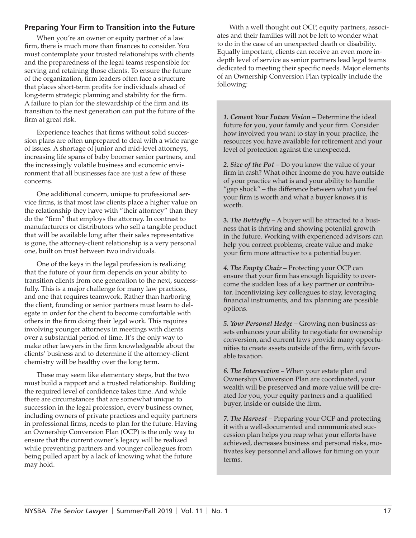### **Preparing Your Firm to Transition into the Future**

When you're an owner or equity partner of a law firm, there is much more than finances to consider. You must contemplate your trusted relationships with clients and the preparedness of the legal teams responsible for serving and retaining those clients. To ensure the future of the organization, firm leaders often face a structure that places short-term profits for individuals ahead of long-term strategic planning and stability for the firm. A failure to plan for the stewardship of the firm and its transition to the next generation can put the future of the firm at great risk.

Experience teaches that firms without solid succession plans are often unprepared to deal with a wide range of issues. A shortage of junior and mid-level attorneys, increasing life spans of baby boomer senior partners, and the increasingly volatile business and economic environment that all businesses face are just a few of these concerns.

One additional concern, unique to professional service firms, is that most law clients place a higher value on the relationship they have with "their attorney" than they do the "firm" that employs the attorney. In contrast to manufacturers or distributors who sell a tangible product that will be available long after their sales representative is gone, the attorney-client relationship is a very personal one, built on trust between two individuals.

One of the keys in the legal profession is realizing that the future of your firm depends on your ability to transition clients from one generation to the next, successfully. This is a major challenge for many law practices, and one that requires teamwork. Rather than harboring the client, founding or senior partners must learn to delegate in order for the client to become comfortable with others in the firm doing their legal work. This requires involving younger attorneys in meetings with clients over a substantial period of time. It's the only way to make other lawyers in the firm knowledgeable about the clients' business and to determine if the attorney-client chemistry will be healthy over the long term.

These may seem like elementary steps, but the two must build a rapport and a trusted relationship. Building the required level of confidence takes time. And while there are circumstances that are somewhat unique to succession in the legal profession, every business owner, including owners of private practices and equity partners in professional firms, needs to plan for the future. Having an Ownership Conversion Plan (OCP) is the only way to ensure that the current owner's legacy will be realized while preventing partners and younger colleagues from being pulled apart by a lack of knowing what the future may hold.

With a well thought out OCP, equity partners, associates and their families will not be left to wonder what to do in the case of an unexpected death or disability. Equally important, clients can receive an even more indepth level of service as senior partners lead legal teams dedicated to meeting their specific needs. Major elements of an Ownership Conversion Plan typically include the following:

*1. Cement Your Future Vision* – Determine the ideal future for you, your family and your firm. Consider how involved you want to stay in your practice, the resources you have available for retirement and your level of protection against the unexpected.

*2. Size of the Pot* – Do you know the value of your firm in cash? What other income do you have outside of your practice what is and your ability to handle "gap shock" – the difference between what you feel your firm is worth and what a buyer knows it is worth.

**3.** *The Butterfly* – A buyer will be attracted to a business that is thriving and showing potential growth in the future. Working with experienced advisors can help you correct problems, create value and make your firm more attractive to a potential buyer.

*4. The Empty Chair* – Protecting your OCP can ensure that your firm has enough liquidity to overcome the sudden loss of a key partner or contributor. Incentivizing key colleagues to stay, leveraging financial instruments, and tax planning are possible options.

*5. Your Personal Hedge* – Growing non-business assets enhances your ability to negotiate for ownership conversion, and current laws provide many opportunities to create assets outside of the firm, with favorable taxation.

*6. The Intersection* – When your estate plan and Ownership Conversion Plan are coordinated, your wealth will be preserved and more value will be created for you, your equity partners and a qualified buyer, inside or outside the firm.

*7. The Harvest* – Preparing your OCP and protecting it with a well-documented and communicated succession plan helps you reap what your efforts have achieved, decreases business and personal risks, motivates key personnel and allows for timing on your terms.